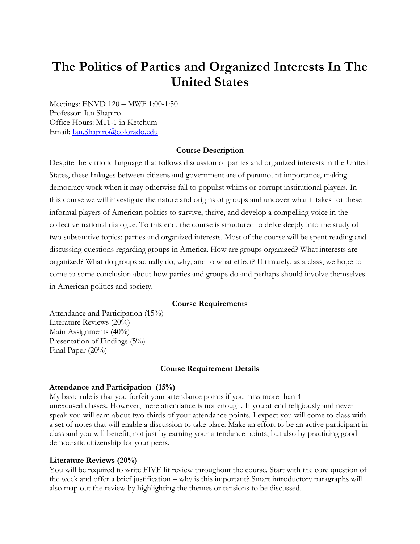# **The Politics of Parties and Organized Interests In The United States**

Meetings: ENVD 120 – MWF 1:00-1:50 Professor: Ian Shapiro Office Hours: M11-1 in Ketchum Email: Ian.Shapiro@colorado.edu

## **Course Description**

Despite the vitriolic language that follows discussion of parties and organized interests in the United States, these linkages between citizens and government are of paramount importance, making democracy work when it may otherwise fall to populist whims or corrupt institutional players. In this course we will investigate the nature and origins of groups and uncover what it takes for these informal players of American politics to survive, thrive, and develop a compelling voice in the collective national dialogue. To this end, the course is structured to delve deeply into the study of two substantive topics: parties and organized interests. Most of the course will be spent reading and discussing questions regarding groups in America. How are groups organized? What interests are organized? What do groups actually do, why, and to what effect? Ultimately, as a class, we hope to come to some conclusion about how parties and groups do and perhaps should involve themselves in American politics and society.

#### **Course Requirements**

Attendance and Participation (15%) Literature Reviews (20%) Main Assignments (40%) Presentation of Findings (5%) Final Paper (20%)

#### **Course Requirement Details**

#### **Attendance and Participation (15%)**

My basic rule is that you forfeit your attendance points if you miss more than 4 unexcused classes. However, mere attendance is not enough. If you attend religiously and never speak you will earn about two-thirds of your attendance points. I expect you will come to class with a set of notes that will enable a discussion to take place. Make an effort to be an active participant in class and you will benefit, not just by earning your attendance points, but also by practicing good democratic citizenship for your peers.

#### **Literature Reviews (20%)**

You will be required to write FIVE lit review throughout the course. Start with the core question of the week and offer a brief justification – why is this important? Smart introductory paragraphs will also map out the review by highlighting the themes or tensions to be discussed.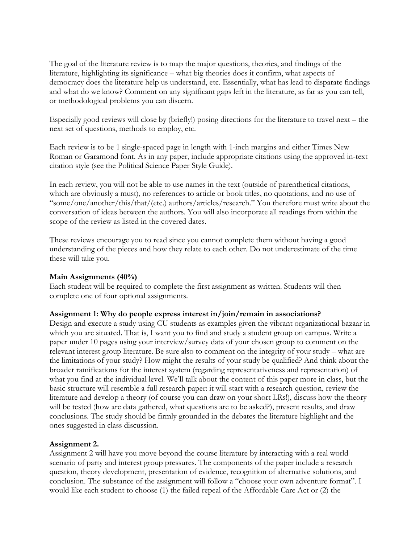The goal of the literature review is to map the major questions, theories, and findings of the literature, highlighting its significance – what big theories does it confirm, what aspects of democracy does the literature help us understand, etc. Essentially, what has lead to disparate findings and what do we know? Comment on any significant gaps left in the literature, as far as you can tell, or methodological problems you can discern.

Especially good reviews will close by (briefly!) posing directions for the literature to travel next – the next set of questions, methods to employ, etc.

Each review is to be 1 single-spaced page in length with 1-inch margins and either Times New Roman or Garamond font. As in any paper, include appropriate citations using the approved in-text citation style (see the Political Science Paper Style Guide).

In each review, you will not be able to use names in the text (outside of parenthetical citations, which are obviously a must), no references to article or book titles, no quotations, and no use of "some/one/another/this/that/(etc.) authors/articles/research." You therefore must write about the conversation of ideas between the authors. You will also incorporate all readings from within the scope of the review as listed in the covered dates.

These reviews encourage you to read since you cannot complete them without having a good understanding of the pieces and how they relate to each other. Do not underestimate of the time these will take you.

## **Main Assignments (40%)**

Each student will be required to complete the first assignment as written. Students will then complete one of four optional assignments.

# **Assignment 1: Why do people express interest in/join/remain in associations?**

Design and execute a study using CU students as examples given the vibrant organizational bazaar in which you are situated. That is, I want you to find and study a student group on campus. Write a paper under 10 pages using your interview/survey data of your chosen group to comment on the relevant interest group literature. Be sure also to comment on the integrity of your study – what are the limitations of your study? How might the results of your study be qualified? And think about the broader ramifications for the interest system (regarding representativeness and representation) of what you find at the individual level. We'll talk about the content of this paper more in class, but the basic structure will resemble a full research paper: it will start with a research question, review the literature and develop a theory (of course you can draw on your short LRs!), discuss how the theory will be tested (how are data gathered, what questions are to be asked?), present results, and draw conclusions. The study should be firmly grounded in the debates the literature highlight and the ones suggested in class discussion.

# **Assignment 2.**

Assignment 2 will have you move beyond the course literature by interacting with a real world scenario of party and interest group pressures. The components of the paper include a research question, theory development, presentation of evidence, recognition of alternative solutions, and conclusion. The substance of the assignment will follow a "choose your own adventure format". I would like each student to choose (1) the failed repeal of the Affordable Care Act or (2) the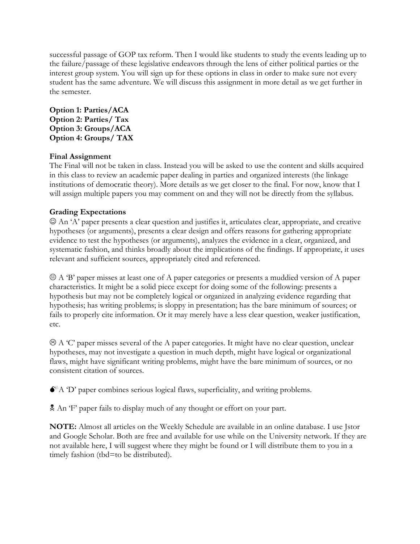successful passage of GOP tax reform. Then I would like students to study the events leading up to the failure/passage of these legislative endeavors through the lens of either political parties or the interest group system. You will sign up for these options in class in order to make sure not every student has the same adventure. We will discuss this assignment in more detail as we get further in the semester.

# **Option 1: Parties/ACA Option 2: Parties/ Tax Option 3: Groups/ACA Option 4: Groups/ TAX**

# **Final Assignment**

The Final will not be taken in class. Instead you will be asked to use the content and skills acquired in this class to review an academic paper dealing in parties and organized interests (the linkage institutions of democratic theory). More details as we get closer to the final. For now, know that I will assign multiple papers you may comment on and they will not be directly from the syllabus.

# **Grading Expectations**

 $\odot$  An 'A' paper presents a clear question and justifies it, articulates clear, appropriate, and creative hypotheses (or arguments), presents a clear design and offers reasons for gathering appropriate evidence to test the hypotheses (or arguments), analyzes the evidence in a clear, organized, and systematic fashion, and thinks broadly about the implications of the findings. If appropriate, it uses relevant and sufficient sources, appropriately cited and referenced.

 $\Theta$  A 'B' paper misses at least one of A paper categories or presents a muddied version of A paper characteristics. It might be a solid piece except for doing some of the following: presents a hypothesis but may not be completely logical or organized in analyzing evidence regarding that hypothesis; has writing problems; is sloppy in presentation; has the bare minimum of sources; or fails to properly cite information. Or it may merely have a less clear question, weaker justification, etc.

 $\Theta$  A 'C' paper misses several of the A paper categories. It might have no clear question, unclear hypotheses, may not investigate a question in much depth, might have logical or organizational flaws, might have significant writing problems, might have the bare minimum of sources, or no consistent citation of sources.

 $\bullet^*$  A 'D' paper combines serious logical flaws, superficiality, and writing problems.

An 'F' paper fails to display much of any thought or effort on your part.

**NOTE:** Almost all articles on the Weekly Schedule are available in an online database. I use Jstor and Google Scholar. Both are free and available for use while on the University network. If they are not available here, I will suggest where they might be found or I will distribute them to you in a timely fashion (tbd=to be distributed).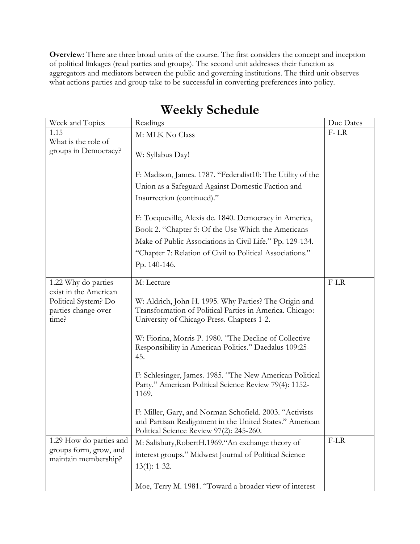**Overview:** There are three broad units of the course. The first considers the concept and inception of political linkages (read parties and groups). The second unit addresses their function as aggregators and mediators between the public and governing institutions. The third unit observes what actions parties and group take to be successful in converting preferences into policy.

| Week and Topics                                                               | Readings                                                                                                                                                        | Due Dates |
|-------------------------------------------------------------------------------|-----------------------------------------------------------------------------------------------------------------------------------------------------------------|-----------|
| 1.15                                                                          | M: MLK No Class                                                                                                                                                 | $F-LR$    |
| What is the role of<br>groups in Democracy?                                   | W: Syllabus Day!                                                                                                                                                |           |
|                                                                               | F: Madison, James. 1787. "Federalist10: The Utility of the                                                                                                      |           |
|                                                                               | Union as a Safeguard Against Domestic Faction and                                                                                                               |           |
|                                                                               | Insurrection (continued)."                                                                                                                                      |           |
|                                                                               | F: Tocqueville, Alexis de. 1840. Democracy in America,                                                                                                          |           |
|                                                                               | Book 2. "Chapter 5: Of the Use Which the Americans                                                                                                              |           |
|                                                                               | Make of Public Associations in Civil Life." Pp. 129-134.                                                                                                        |           |
|                                                                               | "Chapter 7: Relation of Civil to Political Associations."                                                                                                       |           |
|                                                                               | Pp. 140-146.                                                                                                                                                    |           |
| 1.22 Why do parties                                                           | M: Lecture                                                                                                                                                      | $F-LR$    |
| exist in the American<br>Political System? Do<br>parties change over<br>time? | W: Aldrich, John H. 1995. Why Parties? The Origin and<br>Transformation of Political Parties in America. Chicago:<br>University of Chicago Press. Chapters 1-2. |           |
|                                                                               | W: Fiorina, Morris P. 1980. "The Decline of Collective<br>Responsibility in American Politics." Daedalus 109:25-<br>45.                                         |           |
|                                                                               | F: Schlesinger, James. 1985. "The New American Political<br>Party." American Political Science Review 79(4): 1152-<br>1169.                                     |           |
|                                                                               | F: Miller, Gary, and Norman Schofield. 2003. "Activists<br>and Partisan Realignment in the United States." American<br>Political Science Review 97(2): 245-260. |           |
| 1.29 How do parties and<br>groups form, grow, and<br>maintain membership?     | M: Salisbury, Robert H.1969. "An exchange theory of                                                                                                             | $F-LR$    |
|                                                                               | interest groups." Midwest Journal of Political Science                                                                                                          |           |
|                                                                               | $13(1): 1-32.$                                                                                                                                                  |           |
|                                                                               | Moe, Terry M. 1981. "Toward a broader view of interest                                                                                                          |           |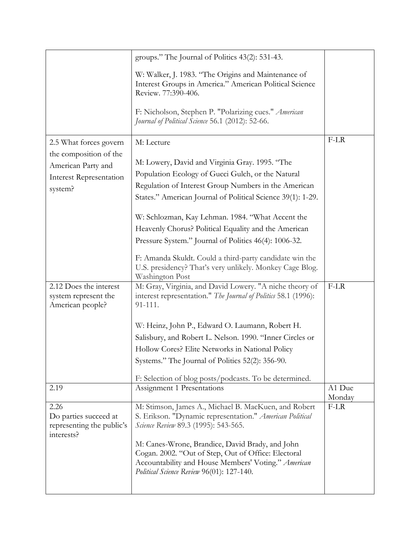|                                                                          | groups." The Journal of Politics 43(2): 531-43.                                                                                                                                                            |        |
|--------------------------------------------------------------------------|------------------------------------------------------------------------------------------------------------------------------------------------------------------------------------------------------------|--------|
|                                                                          | W: Walker, J. 1983. "The Origins and Maintenance of<br>Interest Groups in America." American Political Science<br>Review. 77:390-406.                                                                      |        |
|                                                                          | F: Nicholson, Stephen P. "Polarizing cues." American<br>Journal of Political Science 56.1 (2012): 52-66.                                                                                                   |        |
| 2.5 What forces govern                                                   | M: Lecture                                                                                                                                                                                                 | F-LR   |
| the composition of the                                                   |                                                                                                                                                                                                            |        |
| American Party and                                                       | M: Lowery, David and Virginia Gray. 1995. "The                                                                                                                                                             |        |
| <b>Interest Representation</b>                                           | Population Ecology of Gucci Gulch, or the Natural                                                                                                                                                          |        |
| system?                                                                  | Regulation of Interest Group Numbers in the American                                                                                                                                                       |        |
|                                                                          | States." American Journal of Political Science 39(1): 1-29.                                                                                                                                                |        |
|                                                                          | W: Schlozman, Kay Lehman. 1984. "What Accent the                                                                                                                                                           |        |
|                                                                          | Heavenly Chorus? Political Equality and the American                                                                                                                                                       |        |
|                                                                          | Pressure System." Journal of Politics 46(4): 1006-32.                                                                                                                                                      |        |
|                                                                          | F: Amanda Skuldt. Could a third-party candidate win the<br>U.S. presidency? That's very unlikely. Monkey Cage Blog.<br><b>Washington Post</b>                                                              |        |
| 2.12 Does the interest<br>system represent the<br>American people?       | M: Gray, Virginia, and David Lowery. "A niche theory of<br>interest representation." The Journal of Politics 58.1 (1996):<br>91-111.                                                                       | $F-LR$ |
|                                                                          | W: Heinz, John P., Edward O. Laumann, Robert H.                                                                                                                                                            |        |
|                                                                          | Salisbury, and Robert L. Nelson. 1990. "Inner Circles or                                                                                                                                                   |        |
|                                                                          | Hollow Cores? Elite Networks in National Policy                                                                                                                                                            |        |
|                                                                          | Systems." The Journal of Politics 52(2): 356-90.                                                                                                                                                           |        |
|                                                                          | F: Selection of blog posts/podcasts. To be determined.                                                                                                                                                     |        |
| 2.19                                                                     | Assignment 1 Presentations                                                                                                                                                                                 | A1 Due |
|                                                                          |                                                                                                                                                                                                            | Monday |
| 2.26<br>Do parties succeed at<br>representing the public's<br>interests? | M: Stimson, James A., Michael B. MacKuen, and Robert<br>S. Erikson. "Dynamic representation." American Political<br>Science Review 89.3 (1995): 543-565.                                                   | F-LR   |
|                                                                          | M: Canes-Wrone, Brandice, David Brady, and John<br>Cogan. 2002. "Out of Step, Out of Office: Electoral<br>Accountability and House Members' Voting." American<br>Political Science Review 96(01): 127-140. |        |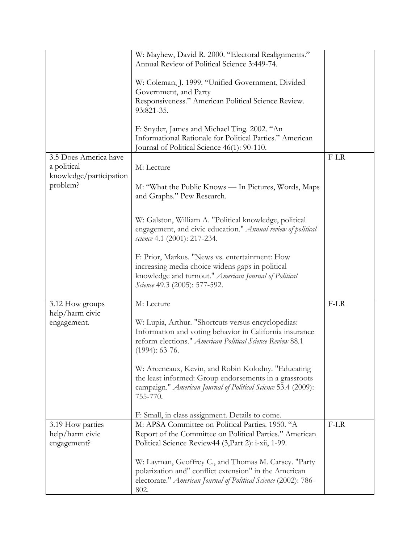|                                     | W: Mayhew, David R. 2000. "Electoral Realignments."                                          |        |
|-------------------------------------|----------------------------------------------------------------------------------------------|--------|
|                                     | Annual Review of Political Science 3:449-74.                                                 |        |
|                                     |                                                                                              |        |
|                                     | W: Coleman, J. 1999. "Unified Government, Divided                                            |        |
|                                     | Government, and Party<br>Responsiveness." American Political Science Review.                 |        |
|                                     | 93:821-35.                                                                                   |        |
|                                     |                                                                                              |        |
|                                     | F: Snyder, James and Michael Ting. 2002. "An                                                 |        |
|                                     | Informational Rationale for Political Parties." American                                     |        |
|                                     | Journal of Political Science 46(1): 90-110.                                                  |        |
| 3.5 Does America have               |                                                                                              | $F-LR$ |
| a political                         | M: Lecture                                                                                   |        |
| knowledge/participation<br>problem? |                                                                                              |        |
|                                     | M: "What the Public Knows — In Pictures, Words, Maps<br>and Graphs." Pew Research.           |        |
|                                     |                                                                                              |        |
|                                     |                                                                                              |        |
|                                     | W: Galston, William A. "Political knowledge, political                                       |        |
|                                     | engagement, and civic education." Annual review of political<br>science 4.1 (2001): 217-234. |        |
|                                     |                                                                                              |        |
|                                     | F: Prior, Markus. "News vs. entertainment: How                                               |        |
|                                     | increasing media choice widens gaps in political                                             |        |
|                                     | knowledge and turnout." American Journal of Political                                        |        |
|                                     | Science 49.3 (2005): 577-592.                                                                |        |
|                                     |                                                                                              |        |
| 3.12 How groups<br>help/harm civic  | M: Lecture                                                                                   | $F-LR$ |
| engagement.                         | W: Lupia, Arthur. "Shortcuts versus encyclopedias:                                           |        |
|                                     | Information and voting behavior in California insurance                                      |        |
|                                     | reform elections." American Political Science Review 88.1                                    |        |
|                                     | $(1994): 63-76.$                                                                             |        |
|                                     |                                                                                              |        |
|                                     | W: Arceneaux, Kevin, and Robin Kolodny. "Educating                                           |        |
|                                     | the least informed: Group endorsements in a grassroots                                       |        |
|                                     | campaign." American Journal of Political Science 53.4 (2009):<br>755-770.                    |        |
|                                     |                                                                                              |        |
|                                     | F: Small, in class assignment. Details to come.                                              |        |
| 3.19 How parties                    | M: APSA Committee on Political Parties. 1950. "A                                             | $F-LR$ |
| help/harm civic                     | Report of the Committee on Political Parties." American                                      |        |
| engagement?                         | Political Science Review44 (3, Part 2): i-xii, 1-99.                                         |        |
|                                     | W: Layman, Geoffrey C., and Thomas M. Carsey. "Party                                         |        |
|                                     | polarization and" conflict extension" in the American                                        |        |
|                                     | electorate." American Journal of Political Science (2002): 786-                              |        |
|                                     | 802.                                                                                         |        |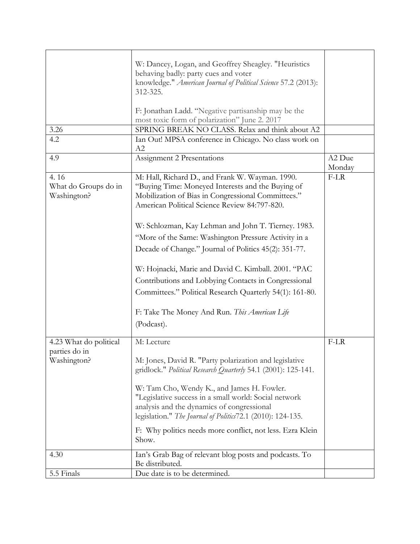|                                             | W: Dancey, Logan, and Geoffrey Sheagley. "Heuristics<br>behaving badly: party cues and voter<br>knowledge." American Journal of Political Science 57.2 (2013):<br>312-325.<br>F: Jonathan Ladd. "Negative partisanship may be the                                            |        |
|---------------------------------------------|------------------------------------------------------------------------------------------------------------------------------------------------------------------------------------------------------------------------------------------------------------------------------|--------|
|                                             | most toxic form of polarization" June 2. 2017                                                                                                                                                                                                                                |        |
| 3.26                                        | SPRING BREAK NO CLASS. Relax and think about A2                                                                                                                                                                                                                              |        |
| 4.2                                         | Ian Out! MPSA conference in Chicago. No class work on<br>A2                                                                                                                                                                                                                  |        |
| 4.9                                         | Assignment 2 Presentations                                                                                                                                                                                                                                                   | A2 Due |
|                                             |                                                                                                                                                                                                                                                                              | Monday |
| 4.16<br>What do Groups do in<br>Washington? | M: Hall, Richard D., and Frank W. Wayman. 1990.<br>"Buying Time: Moneyed Interests and the Buying of<br>Mobilization of Bias in Congressional Committees."<br>American Political Science Review 84:797-820.                                                                  | $F-LR$ |
|                                             | W: Schlozman, Kay Lehman and John T. Tierney. 1983.                                                                                                                                                                                                                          |        |
|                                             | "More of the Same: Washington Pressure Activity in a                                                                                                                                                                                                                         |        |
|                                             | Decade of Change." Journal of Politics 45(2): 351-77.                                                                                                                                                                                                                        |        |
|                                             | W: Hojnacki, Marie and David C. Kimball. 2001. "PAC<br>Contributions and Lobbying Contacts in Congressional                                                                                                                                                                  |        |
|                                             | Committees." Political Research Quarterly 54(1): 161-80.<br>F: Take The Money And Run. This American Life<br>(Podcast).                                                                                                                                                      |        |
| 4.23 What do political                      | M: Lecture                                                                                                                                                                                                                                                                   | $F-LR$ |
| parties do in<br>Washington?                | M: Jones, David R. "Party polarization and legislative<br>gridlock." Political Research Quarterly 54.1 (2001): 125-141.                                                                                                                                                      |        |
|                                             | W: Tam Cho, Wendy K., and James H. Fowler.<br>"Legislative success in a small world: Social network<br>analysis and the dynamics of congressional<br>legislation." The Journal of Politics72.1 (2010): 124-135.<br>F: Why politics needs more conflict, not less. Ezra Klein |        |
|                                             | Show.                                                                                                                                                                                                                                                                        |        |
| 4.30                                        | Ian's Grab Bag of relevant blog posts and podcasts. To<br>Be distributed.                                                                                                                                                                                                    |        |
| 5.5 Finals                                  | Due date is to be determined.                                                                                                                                                                                                                                                |        |